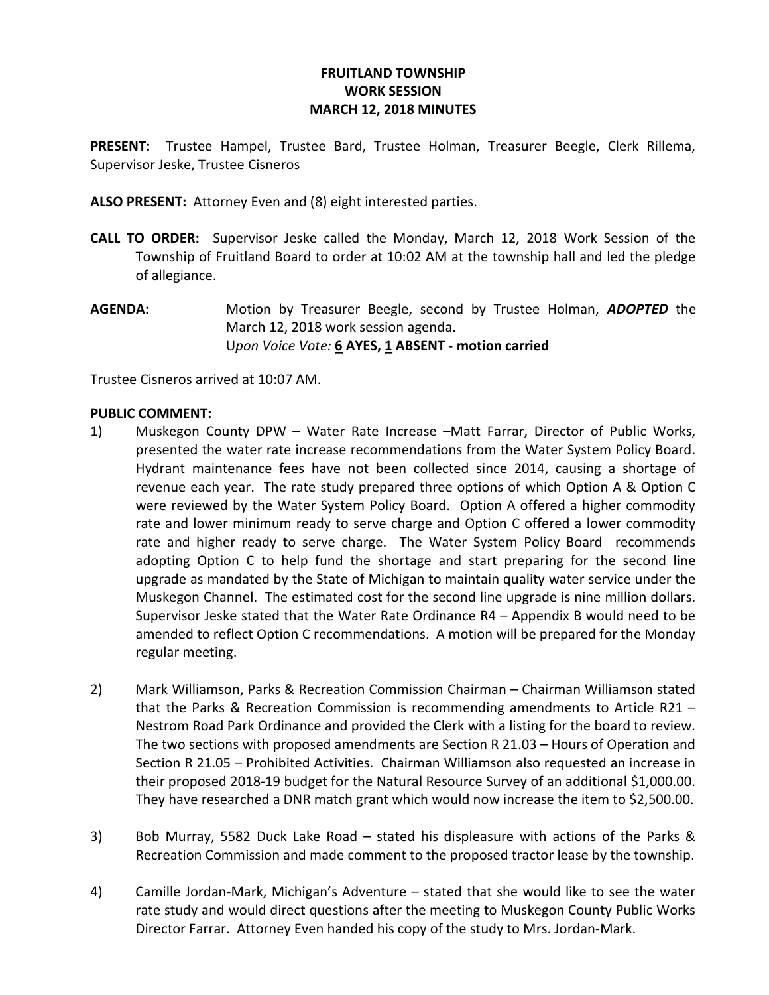## FRUITLAND TOWNSHIP WORK SESSION MARCH 12, 2018 MINUTES

PRESENT: Trustee Hampel, Trustee Bard, Trustee Holman, Treasurer Beegle, Clerk Rillema, Supervisor Jeske, Trustee Cisneros

ALSO PRESENT: Attorney Even and (8) eight interested parties.

- CALL TO ORDER: Supervisor Jeske called the Monday, March 12, 2018 Work Session of the Township of Fruitland Board to order at 10:02 AM at the township hall and led the pledge of allegiance.
- **AGENDA:** Motion by Treasurer Beegle, second by Trustee Holman, **ADOPTED** the March 12, 2018 work session agenda. Upon Voice Vote: 6 AYES, 1 ABSENT - motion carried

Trustee Cisneros arrived at 10:07 AM.

## PUBLIC COMMENT:

- 1) Muskegon County DPW Water Rate Increase –Matt Farrar, Director of Public Works, presented the water rate increase recommendations from the Water System Policy Board. Hydrant maintenance fees have not been collected since 2014, causing a shortage of revenue each year. The rate study prepared three options of which Option A & Option C were reviewed by the Water System Policy Board. Option A offered a higher commodity rate and lower minimum ready to serve charge and Option C offered a lower commodity rate and higher ready to serve charge. The Water System Policy Board recommends adopting Option C to help fund the shortage and start preparing for the second line upgrade as mandated by the State of Michigan to maintain quality water service under the Muskegon Channel. The estimated cost for the second line upgrade is nine million dollars. Supervisor Jeske stated that the Water Rate Ordinance R4 – Appendix B would need to be amended to reflect Option C recommendations. A motion will be prepared for the Monday regular meeting.
- 2) Mark Williamson, Parks & Recreation Commission Chairman Chairman Williamson stated that the Parks & Recreation Commission is recommending amendments to Article R21 – Nestrom Road Park Ordinance and provided the Clerk with a listing for the board to review. The two sections with proposed amendments are Section R 21.03 – Hours of Operation and Section R 21.05 – Prohibited Activities. Chairman Williamson also requested an increase in their proposed 2018-19 budget for the Natural Resource Survey of an additional \$1,000.00. They have researched a DNR match grant which would now increase the item to \$2,500.00.
- 3) Bob Murray, 5582 Duck Lake Road stated his displeasure with actions of the Parks & Recreation Commission and made comment to the proposed tractor lease by the township.
- 4) Camille Jordan-Mark, Michigan's Adventure stated that she would like to see the water rate study and would direct questions after the meeting to Muskegon County Public Works Director Farrar. Attorney Even handed his copy of the study to Mrs. Jordan-Mark.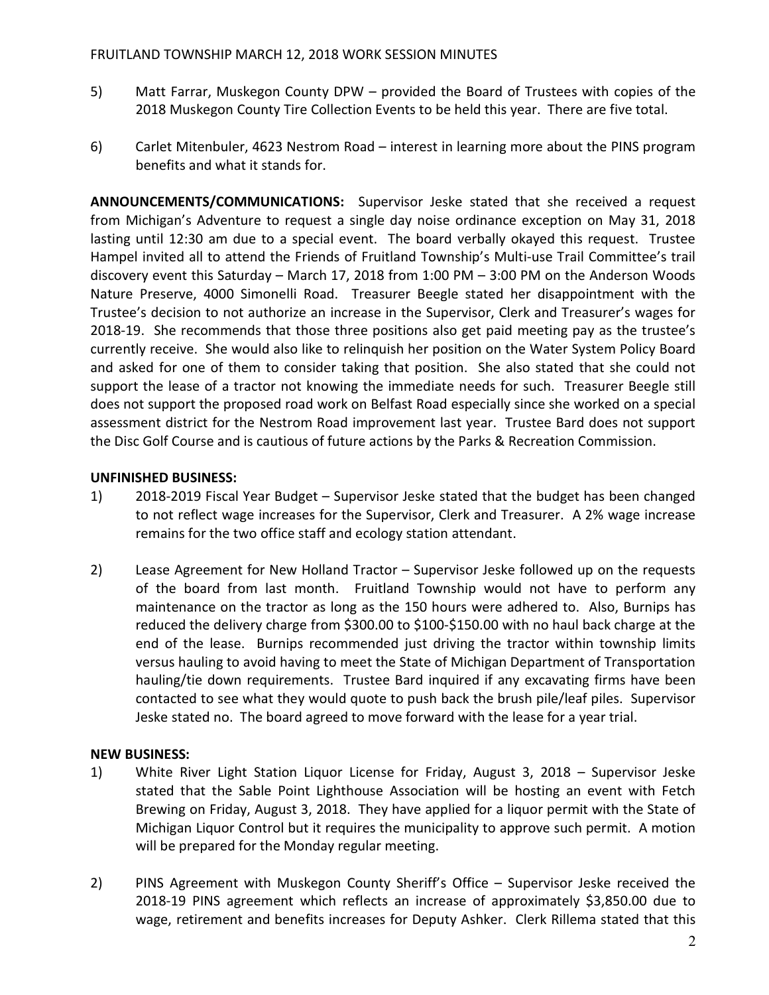- 5) Matt Farrar, Muskegon County DPW provided the Board of Trustees with copies of the 2018 Muskegon County Tire Collection Events to be held this year. There are five total.
- 6) Carlet Mitenbuler, 4623 Nestrom Road interest in learning more about the PINS program benefits and what it stands for.

ANNOUNCEMENTS/COMMUNICATIONS: Supervisor Jeske stated that she received a request from Michigan's Adventure to request a single day noise ordinance exception on May 31, 2018 lasting until 12:30 am due to a special event. The board verbally okayed this request. Trustee Hampel invited all to attend the Friends of Fruitland Township's Multi-use Trail Committee's trail discovery event this Saturday – March 17, 2018 from 1:00 PM – 3:00 PM on the Anderson Woods Nature Preserve, 4000 Simonelli Road. Treasurer Beegle stated her disappointment with the Trustee's decision to not authorize an increase in the Supervisor, Clerk and Treasurer's wages for 2018-19. She recommends that those three positions also get paid meeting pay as the trustee's currently receive. She would also like to relinquish her position on the Water System Policy Board and asked for one of them to consider taking that position. She also stated that she could not support the lease of a tractor not knowing the immediate needs for such. Treasurer Beegle still does not support the proposed road work on Belfast Road especially since she worked on a special assessment district for the Nestrom Road improvement last year. Trustee Bard does not support the Disc Golf Course and is cautious of future actions by the Parks & Recreation Commission.

## UNFINISHED BUSINESS:

- 1) 2018-2019 Fiscal Year Budget Supervisor Jeske stated that the budget has been changed to not reflect wage increases for the Supervisor, Clerk and Treasurer. A 2% wage increase remains for the two office staff and ecology station attendant.
- 2) Lease Agreement for New Holland Tractor Supervisor Jeske followed up on the requests of the board from last month. Fruitland Township would not have to perform any maintenance on the tractor as long as the 150 hours were adhered to. Also, Burnips has reduced the delivery charge from \$300.00 to \$100-\$150.00 with no haul back charge at the end of the lease. Burnips recommended just driving the tractor within township limits versus hauling to avoid having to meet the State of Michigan Department of Transportation hauling/tie down requirements. Trustee Bard inquired if any excavating firms have been contacted to see what they would quote to push back the brush pile/leaf piles. Supervisor Jeske stated no. The board agreed to move forward with the lease for a year trial.

## NEW BUSINESS:

- 1) White River Light Station Liquor License for Friday, August 3, 2018 Supervisor Jeske stated that the Sable Point Lighthouse Association will be hosting an event with Fetch Brewing on Friday, August 3, 2018. They have applied for a liquor permit with the State of Michigan Liquor Control but it requires the municipality to approve such permit. A motion will be prepared for the Monday regular meeting.
- 2) PINS Agreement with Muskegon County Sheriff's Office Supervisor Jeske received the 2018-19 PINS agreement which reflects an increase of approximately \$3,850.00 due to wage, retirement and benefits increases for Deputy Ashker. Clerk Rillema stated that this